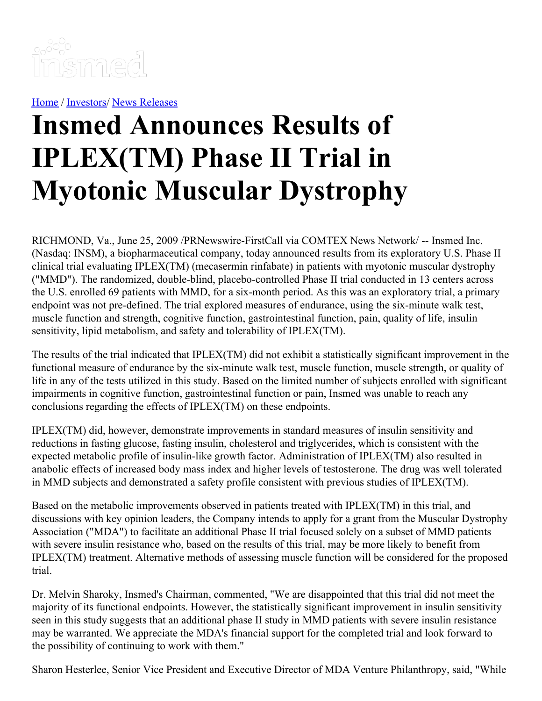

[Home](https://insmed.com/) / [Investors](https://investor.insmed.com/index)/ News [Releases](https://investor.insmed.com/releases)

## **Insmed Announces Results of IPLEX(TM) Phase II Trial in Myotonic Muscular Dystrophy**

RICHMOND, Va., June 25, 2009 /PRNewswire-FirstCall via COMTEX News Network/ -- Insmed Inc. (Nasdaq: INSM), a biopharmaceutical company, today announced results from its exploratory U.S. Phase II clinical trial evaluating IPLEX(TM) (mecasermin rinfabate) in patients with myotonic muscular dystrophy ("MMD"). The randomized, double-blind, placebo-controlled Phase II trial conducted in 13 centers across the U.S. enrolled 69 patients with MMD, for a six-month period. As this was an exploratory trial, a primary endpoint was not pre-defined. The trial explored measures of endurance, using the six-minute walk test, muscle function and strength, cognitive function, gastrointestinal function, pain, quality of life, insulin sensitivity, lipid metabolism, and safety and tolerability of IPLEX(TM).

The results of the trial indicated that IPLEX(TM) did not exhibit a statistically significant improvement in the functional measure of endurance by the six-minute walk test, muscle function, muscle strength, or quality of life in any of the tests utilized in this study. Based on the limited number of subjects enrolled with significant impairments in cognitive function, gastrointestinal function or pain, Insmed was unable to reach any conclusions regarding the effects of IPLEX(TM) on these endpoints.

IPLEX(TM) did, however, demonstrate improvements in standard measures of insulin sensitivity and reductions in fasting glucose, fasting insulin, cholesterol and triglycerides, which is consistent with the expected metabolic profile of insulin-like growth factor. Administration of IPLEX(TM) also resulted in anabolic effects of increased body mass index and higher levels of testosterone. The drug was well tolerated in MMD subjects and demonstrated a safety profile consistent with previous studies of IPLEX(TM).

Based on the metabolic improvements observed in patients treated with IPLEX(TM) in this trial, and discussions with key opinion leaders, the Company intends to apply for a grant from the Muscular Dystrophy Association ("MDA") to facilitate an additional Phase II trial focused solely on a subset of MMD patients with severe insulin resistance who, based on the results of this trial, may be more likely to benefit from IPLEX(TM) treatment. Alternative methods of assessing muscle function will be considered for the proposed trial.

Dr. Melvin Sharoky, Insmed's Chairman, commented, "We are disappointed that this trial did not meet the majority of its functional endpoints. However, the statistically significant improvement in insulin sensitivity seen in this study suggests that an additional phase II study in MMD patients with severe insulin resistance may be warranted. We appreciate the MDA's financial support for the completed trial and look forward to the possibility of continuing to work with them."

Sharon Hesterlee, Senior Vice President and Executive Director of MDA Venture Philanthropy, said, "While